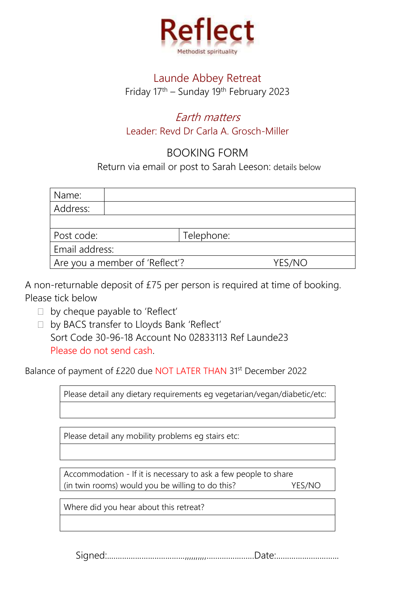

## Launde Abbey Retreat Friday 17th – Sunday 19th February 2023

## Earth matters Leader: Revd Dr Carla A. Grosch-Miller

## BOOKING FORM

Return via email or post to Sarah Leeson: details below

| Name:                          |            |        |
|--------------------------------|------------|--------|
| Address:                       |            |        |
|                                |            |        |
| Post code:                     | Telephone: |        |
| Email address:                 |            |        |
| Are you a member of 'Reflect'? |            | YES/NO |

A non-returnable deposit of £75 per person is required at time of booking. Please tick below

- $\Box$  by cheque payable to 'Reflect'
- □ by BACS transfer to Lloyds Bank 'Reflect' Sort Code 30-96-18 Account No 02833113 Ref Launde23 Please do not send cash.

Balance of payment of £220 due NOT LATER THAN 31st December 2022

Please detail any dietary requirements eg vegetarian/vegan/diabetic/etc:

Please detail any mobility problems eg stairs etc:

Accommodation - If it is necessary to ask a few people to share (in twin rooms) would you be willing to do this? YES/NO

Where did you hear about this retreat?

Signed:....................................,,,,,,,,,,......................Date:.............................